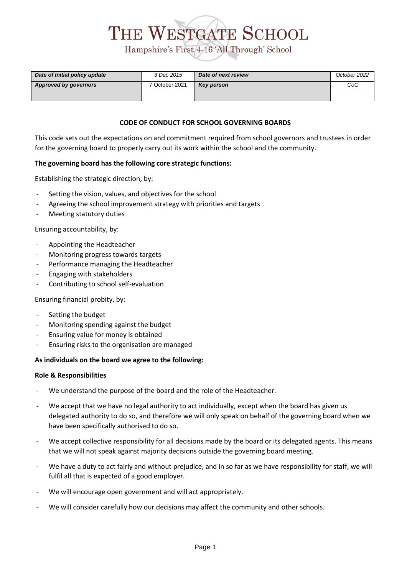# THE WESTGATE SCHOOL Hampshire's First 4-16 'All Through' School

| Date of Initial policy update | 3 Dec 2015     | Date of next review | October 2022 |
|-------------------------------|----------------|---------------------|--------------|
| <b>Approved by governors</b>  | 7 October 2021 | <b>Key person</b>   | CoG          |
|                               |                |                     |              |

#### **CODE OF CONDUCT FOR SCHOOL GOVERNING BOARDS**

This code sets out the expectations on and commitment required from school governors and trustees in order for the governing board to properly carry out its work within the school and the community.

#### **The governing board has the following core strategic functions:**

Establishing the strategic direction, by:

- Setting the vision, values, and objectives for the school
- Agreeing the school improvement strategy with priorities and targets
- Meeting statutory duties

Ensuring accountability, by:

- Appointing the Headteacher
- Monitoring progress towards targets
- Performance managing the Headteacher
- Engaging with stakeholders
- Contributing to school self-evaluation

Ensuring financial probity, by:

- Setting the budget
- Monitoring spending against the budget
- Ensuring value for money is obtained
- Ensuring risks to the organisation are managed

#### **As individuals on the board we agree to the following:**

#### **Role & Responsibilities**

- We understand the purpose of the board and the role of the Headteacher.
- We accept that we have no legal authority to act individually, except when the board has given us delegated authority to do so, and therefore we will only speak on behalf of the governing board when we have been specifically authorised to do so.
- We accept collective responsibility for all decisions made by the board or its delegated agents. This means that we will not speak against majority decisions outside the governing board meeting.
- We have a duty to act fairly and without prejudice, and in so far as we have responsibility for staff, we will fulfil all that is expected of a good employer.
- We will encourage open government and will act appropriately.
- We will consider carefully how our decisions may affect the community and other schools.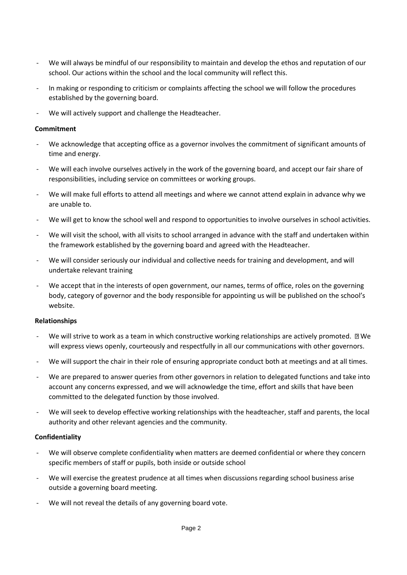- We will always be mindful of our responsibility to maintain and develop the ethos and reputation of our school. Our actions within the school and the local community will reflect this.
- In making or responding to criticism or complaints affecting the school we will follow the procedures established by the governing board.
- We will actively support and challenge the Headteacher.

#### **Commitment**

- We acknowledge that accepting office as a governor involves the commitment of significant amounts of time and energy.
- We will each involve ourselves actively in the work of the governing board, and accept our fair share of responsibilities, including service on committees or working groups.
- We will make full efforts to attend all meetings and where we cannot attend explain in advance why we are unable to.
- We will get to know the school well and respond to opportunities to involve ourselves in school activities.
- We will visit the school, with all visits to school arranged in advance with the staff and undertaken within the framework established by the governing board and agreed with the Headteacher.
- We will consider seriously our individual and collective needs for training and development, and will undertake relevant training
- We accept that in the interests of open government, our names, terms of office, roles on the governing body, category of governor and the body responsible for appointing us will be published on the school's website.

#### **Relationships**

- We will strive to work as a team in which constructive working relationships are actively promoted.  $\Box$  We will express views openly, courteously and respectfully in all our communications with other governors.
- We will support the chair in their role of ensuring appropriate conduct both at meetings and at all times.
- We are prepared to answer queries from other governors in relation to delegated functions and take into account any concerns expressed, and we will acknowledge the time, effort and skills that have been committed to the delegated function by those involved.
- We will seek to develop effective working relationships with the headteacher, staff and parents, the local authority and other relevant agencies and the community.

### **Confidentiality**

- We will observe complete confidentiality when matters are deemed confidential or where they concern specific members of staff or pupils, both inside or outside school
- We will exercise the greatest prudence at all times when discussions regarding school business arise outside a governing board meeting.
- We will not reveal the details of any governing board vote.